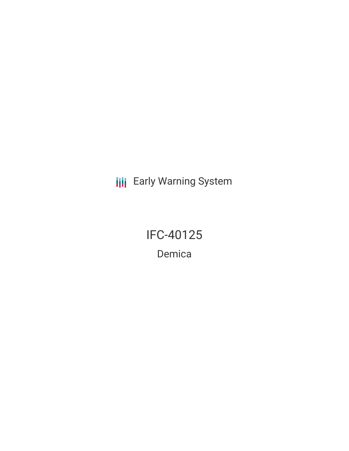**III** Early Warning System

IFC-40125 Demica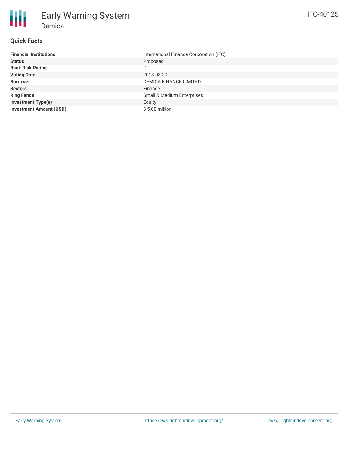# **Quick Facts**

朋

| <b>Financial Institutions</b>  | International Finance Corporation (IFC) |  |  |  |
|--------------------------------|-----------------------------------------|--|--|--|
| <b>Status</b>                  | Proposed                                |  |  |  |
| <b>Bank Risk Rating</b>        | С                                       |  |  |  |
| <b>Voting Date</b>             | 2018-03-20                              |  |  |  |
| <b>Borrower</b>                | <b>DEMICA FINANCE LIMITED</b>           |  |  |  |
| <b>Sectors</b>                 | Finance                                 |  |  |  |
| <b>Ring Fence</b>              | <b>Small &amp; Medium Enterprises</b>   |  |  |  |
| <b>Investment Type(s)</b>      | Equity                                  |  |  |  |
| <b>Investment Amount (USD)</b> | $$5.00$ million                         |  |  |  |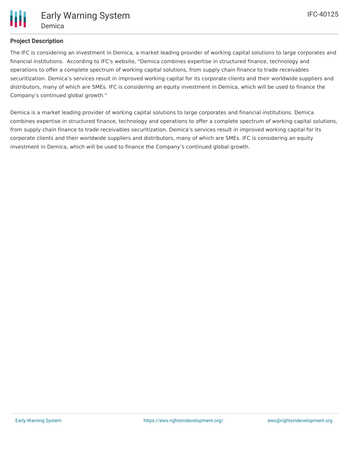

# **Project Description**

The IFC is considering an investment in Demica, a market leading provider of working capital solutions to large corporates and financial institutions. According to IFC's website, "Demica combines expertise in structured finance, technology and operations to offer a complete spectrum of working capital solutions, from supply chain finance to trade receivables securitization. Demica's services result in improved working capital for its corporate clients and their worldwide suppliers and distributors, many of which are SMEs. IFC is considering an equity investment in Demica, which will be used to finance the Company's continued global growth."

Demica is a market leading provider of working capital solutions to large corporates and financial institutions. Demica combines expertise in structured finance, technology and operations to offer a complete spectrum of working capital solutions, from supply chain finance to trade receivables securitization. Demica's services result in improved working capital for its corporate clients and their worldwide suppliers and distributors, many of which are SMEs. IFC is considering an equity investment in Demica, which will be used to finance the Company's continued global growth.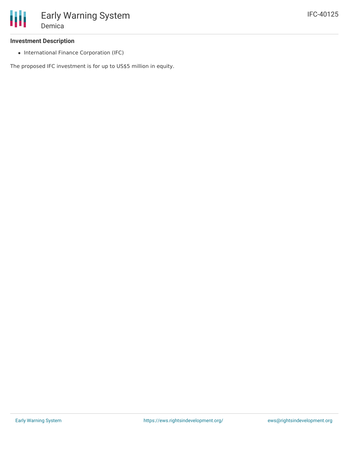# **Investment Description**

• International Finance Corporation (IFC)

The proposed IFC investment is for up to US\$5 million in equity.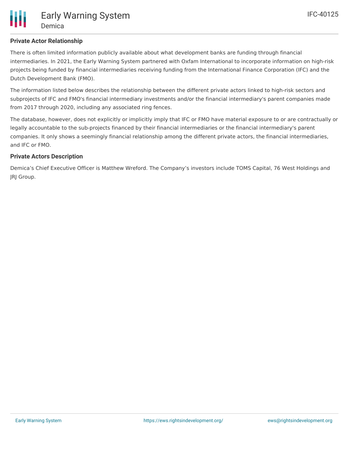# **Private Actor Relationship**

There is often limited information publicly available about what development banks are funding through financial intermediaries. In 2021, the Early Warning System partnered with Oxfam International to incorporate information on high-risk projects being funded by financial intermediaries receiving funding from the International Finance Corporation (IFC) and the Dutch Development Bank (FMO).

The information listed below describes the relationship between the different private actors linked to high-risk sectors and subprojects of IFC and FMO's financial intermediary investments and/or the financial intermediary's parent companies made from 2017 through 2020, including any associated ring fences.

The database, however, does not explicitly or implicitly imply that IFC or FMO have material exposure to or are contractually or legally accountable to the sub-projects financed by their financial intermediaries or the financial intermediary's parent companies. It only shows a seemingly financial relationship among the different private actors, the financial intermediaries, and IFC or FMO.

#### **Private Actors Description**

Demica's Chief Executive Officer is Matthew Wreford. The Company's investors include TOMS Capital, 76 West Holdings and JRJ Group.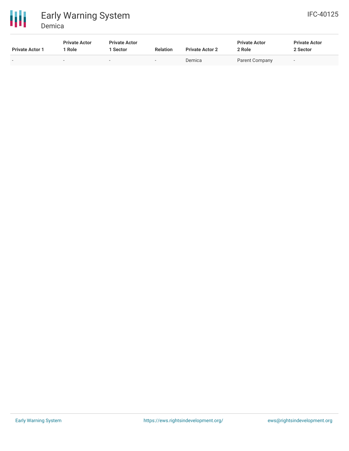

| <b>Private Actor 1</b> | <b>Private Actor</b><br>Role | <b>Private Actor</b><br>Sector | <b>Relation</b> | <b>Private Actor 2</b> | <b>Private Actor</b><br>2 Role | <b>Private Actor</b><br>2 Sector |
|------------------------|------------------------------|--------------------------------|-----------------|------------------------|--------------------------------|----------------------------------|
| . .                    |                              | $\overline{\phantom{a}}$       | $\,$            | Demica                 | Parent Company                 | $\overline{\phantom{a}}$         |